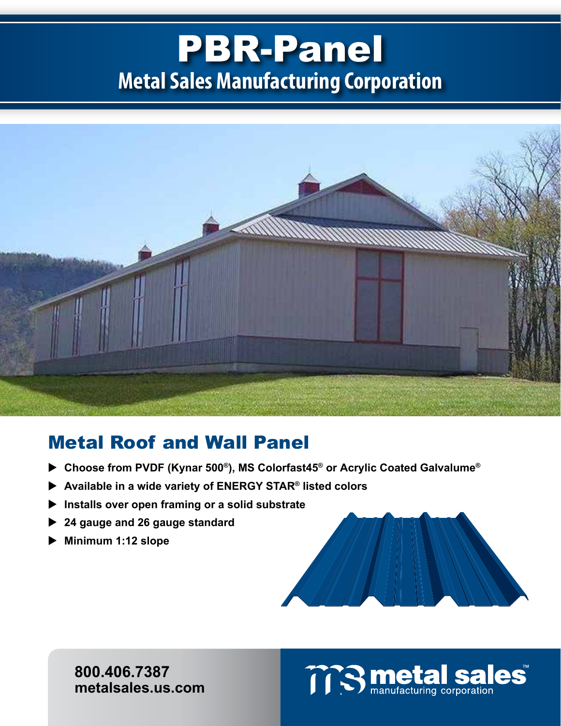## PBR-Panel **Metal Sales Manufacturing Corporation**



## Metal Roof and Wall Panel

- **Choose from PVDF (Kynar 500®), MS Colorfast45® or Acrylic Coated Galvalume®**
- **Available in a wide variety of ENERGY STAR® listed colors**
- **Installs over open framing or a solid substrate**
- **24 gauge and 26 gauge standard**
- **Minimum 1:12 slope**



**800.406.7387 metalsales.us.com**